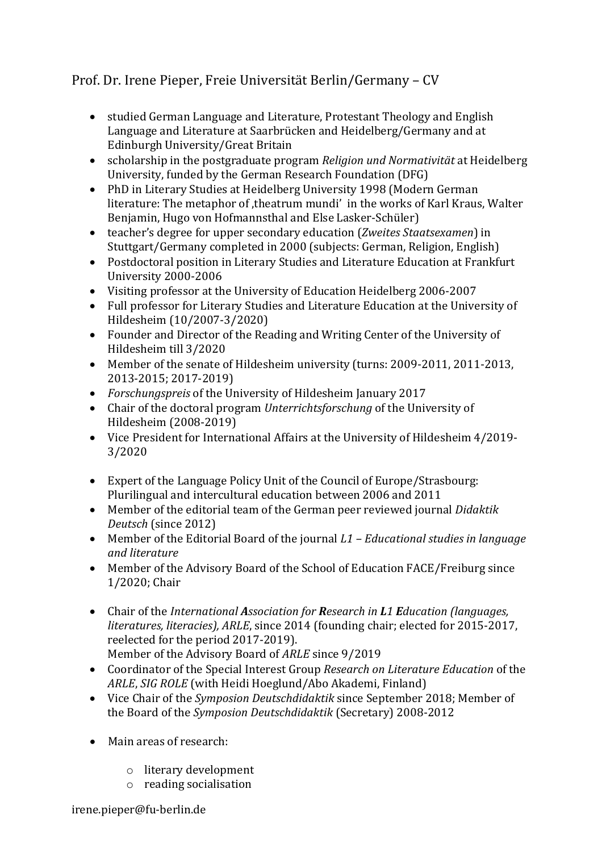## Prof. Dr. Irene Pieper, Freie Universität Berlin/Germany – CV

- studied German Language and Literature, Protestant Theology and English Language and Literature at Saarbrücken and Heidelberg/Germany and at Edinburgh University/Great Britain
- scholarship in the postgraduate program *Religion und Normativität* at Heidelberg University, funded by the German Research Foundation (DFG)
- PhD in Literary Studies at Heidelberg University 1998 (Modern German literature: The metaphor of , theatrum mundi' in the works of Karl Kraus, Walter Benjamin, Hugo von Hofmannsthal and Else Lasker-Schüler)
- teacher's degree for upper secondary education (*Zweites Staatsexamen*) in Stuttgart/Germany completed in 2000 (subjects: German, Religion, English)
- Postdoctoral position in Literary Studies and Literature Education at Frankfurt University 2000-2006
- Visiting professor at the University of Education Heidelberg 2006-2007
- Full professor for Literary Studies and Literature Education at the University of Hildesheim (10/2007-3/2020)
- Founder and Director of the Reading and Writing Center of the University of Hildesheim till 3/2020
- Member of the senate of Hildesheim university (turns: 2009-2011, 2011-2013, 2013-2015; 2017-2019)
- *Forschungspreis* of the University of Hildesheim January 2017
- Chair of the doctoral program *Unterrichtsforschung* of the University of Hildesheim (2008-2019)
- Vice President for International Affairs at the University of Hildesheim 4/2019- 3/2020
- Expert of the Language Policy Unit of the Council of Europe/Strasbourg: Plurilingual and intercultural education between 2006 and 2011
- Member of the editorial team of the German peer reviewed journal *Didaktik Deutsch* (since 2012)
- Member of the Editorial Board of the journal *L1 – Educational studies in language and literature*
- Member of the Advisory Board of the School of Education FACE/Freiburg since 1/2020; Chair
- Chair of the *International Association for Research in L1 Education (languages, literatures, literacies), ARLE*, since 2014 (founding chair; elected for 2015-2017, reelected for the period 2017-2019). Member of the Advisory Board of *ARLE* since 9/2019
- Coordinator of the Special Interest Group *Research on Literature Education* of the *ARLE*, *SIG ROLE* (with Heidi Hoeglund/Abo Akademi, Finland)
- Vice Chair of the *Symposion Deutschdidaktik* since September 2018; Member of the Board of the *Symposion Deutschdidaktik* (Secretary) 2008-2012
- Main areas of research:
	- o literary development
	- o reading socialisation

irene.pieper@fu-berlin.de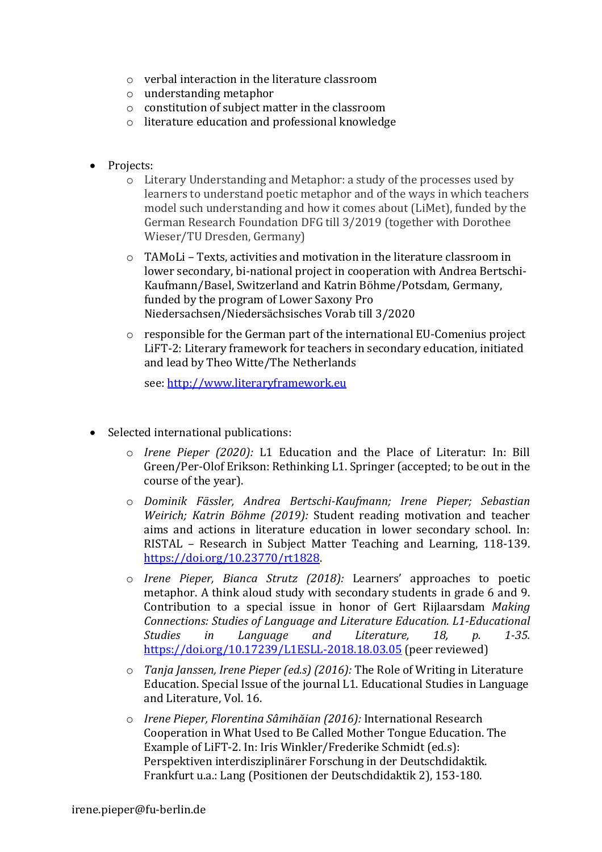- o verbal interaction in the literature classroom
- o understanding metaphor
- o constitution of subject matter in the classroom
- o literature education and professional knowledge
- Projects:
	- o Literary Understanding and Metaphor: a study of the processes used by learners to understand poetic metaphor and of the ways in which teachers model such understanding and how it comes about (LiMet), funded by the German Research Foundation DFG till 3/2019 (together with Dorothee Wieser/TU Dresden, Germany)
	- o TAMoLi Texts, activities and motivation in the literature classroom in lower secondary, bi-national project in cooperation with Andrea Bertschi-Kaufmann/Basel, Switzerland and Katrin Böhme/Potsdam, Germany, funded by the program of Lower Saxony Pro Niedersachsen/Niedersächsisches Vorab till 3/2020
	- $\circ$  responsible for the German part of the international EU-Comenius project LiFT-2: Literary framework for teachers in secondary education, initiated and lead by Theo Witte/The Netherlands

see: [http://www.literaryframework.eu](http://www.literaryframework.eu/)

- Selected international publications:
	- o *Irene Pieper (2020):* L1 Education and the Place of Literatur: In: Bill Green/Per-Olof Erikson: Rethinking L1. Springer (accepted; to be out in the course of the year).
	- o *Dominik Fässler, Andrea Bertschi-Kaufmann; Irene Pieper; Sebastian Weirich; Katrin Böhme (2019):* Student reading motivation and teacher aims and actions in literature education in lower secondary school. In: RISTAL – Research in Subject Matter Teaching and Learning, 118-139. [https://doi.org/10.23770/rt1828.](https://doi.org/10.23770/rt1828)
	- o *Irene Pieper, Bianca Strutz (2018):* Learners' approaches to poetic metaphor. A think aloud study with secondary students in grade 6 and 9. Contribution to a special issue in honor of Gert Rijlaarsdam *Making Connections: Studies of Language and Literature Education. L1-Educational Studies in Language and Literature, 18, p. 1-35.*  <https://doi.org/10.17239/L1ESLL-2018.18.03.05> (peer reviewed)
	- o *Tanja Janssen, Irene Pieper (ed.s) (2016):* The Role of Writing in Literature Education. Special Issue of the journal L1. Educational Studies in Language and Literature, Vol. 16.
	- o *Irene Pieper, Florentina Sâmihăian (2016):* International Research Cooperation in What Used to Be Called Mother Tongue Education. The Example of LiFT-2. In: Iris Winkler/Frederike Schmidt (ed.s): Perspektiven interdisziplinärer Forschung in der Deutschdidaktik. Frankfurt u.a.: Lang (Positionen der Deutschdidaktik 2), 153-180.